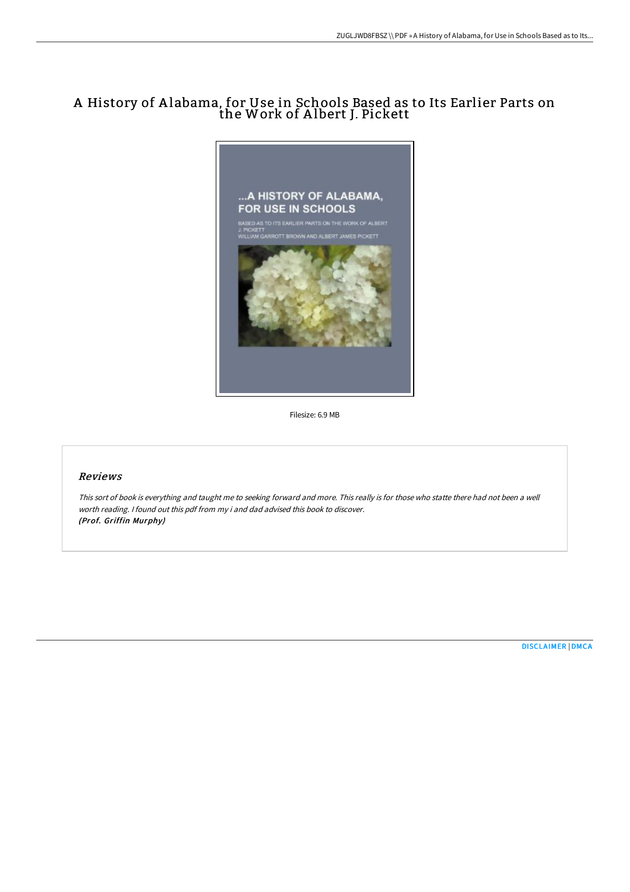## A History of A labama, for Use in Schools Based as to Its Earlier Parts on the Work of A lbert J. Pickett



Filesize: 6.9 MB

## Reviews

This sort of book is everything and taught me to seeking forward and more. This really is for those who statte there had not been <sup>a</sup> well worth reading. <sup>I</sup> found out this pdf from my i and dad advised this book to discover. (Prof. Griffin Murphy)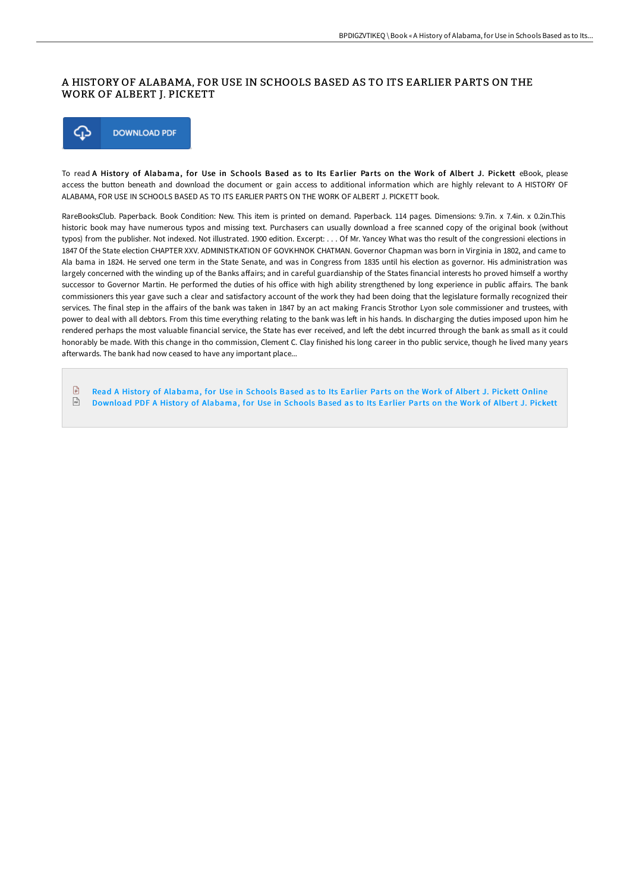## A HISTORY OF ALABAMA, FOR USE IN SCHOOLS BASED AS TO ITS EARLIER PARTS ON THE WORK OF ALBERT J. PICKETT



To read A History of Alabama, for Use in Schools Based as to Its Earlier Parts on the Work of Albert J. Pickett eBook, please access the button beneath and download the document or gain access to additional information which are highly relevant to A HISTORY OF ALABAMA, FOR USE IN SCHOOLS BASED AS TO ITS EARLIER PARTS ON THE WORK OF ALBERT J. PICKETT book.

RareBooksClub. Paperback. Book Condition: New. This item is printed on demand. Paperback. 114 pages. Dimensions: 9.7in. x 7.4in. x 0.2in.This historic book may have numerous typos and missing text. Purchasers can usually download a free scanned copy of the original book (without typos) from the publisher. Not indexed. Not illustrated. 1900 edition. Excerpt: . . . Of Mr. Yancey What was tho result of the congressioni elections in 1847 Of the State election CHAPTER XXV. ADMINISTKATION OF GOVKHNOK CHATMAN. Governor Chapman was born in Virginia in 1802, and came to Ala bama in 1824. He served one term in the State Senate, and was in Congress from 1835 until his election as governor. His administration was largely concerned with the winding up of the Banks affairs; and in careful guardianship of the States financial interests ho proved himself a worthy successor to Governor Martin. He performed the duties of his office with high ability strengthened by long experience in public affairs. The bank commissioners this year gave such a clear and satisfactory account of the work they had been doing that the legislature formally recognized their services. The final step in the affairs of the bank was taken in 1847 by an act making Francis Strothor Lyon sole commissioner and trustees, with power to deal with all debtors. From this time everything relating to the bank was left in his hands. In discharging the duties imposed upon him he rendered perhaps the most valuable financial service, the State has ever received, and left the debt incurred through the bank as small as it could honorably be made. With this change in tho commission, Clement C. Clay finished his long career in tho public service, though he lived many years afterwards. The bank had now ceased to have any important place...

 $\mathbb{R}$ Read A History of [Alabama,](http://techno-pub.tech/a-history-of-alabama-for-use-in-schools-based-as.html) for Use in Schools Based as to Its Earlier Parts on the Work of Albert J. Pickett Online  $\boxed{m}$ [Download](http://techno-pub.tech/a-history-of-alabama-for-use-in-schools-based-as.html) PDF A History of Alabama, for Use in Schools Based as to Its Earlier Parts on the Work of Albert J. Pickett